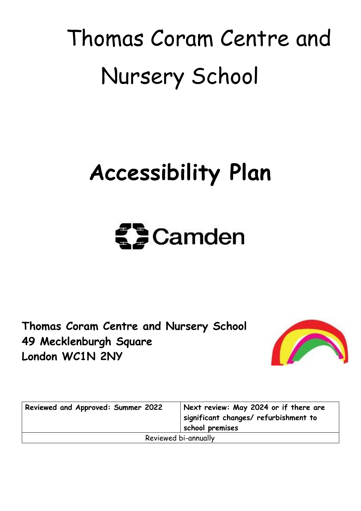## Thomas Coram Centre and Nursery School

## **Accessibility Plan**



**Thomas Coram Centre and Nursery School 49 Mecklenburgh Square London WC1N 2NY**



| Reviewed and Approved: Summer 2022 | Next review: May 2024 or if there are<br>significant changes/ refurbishment to<br>school premises |
|------------------------------------|---------------------------------------------------------------------------------------------------|
| Reviewed bi-annually               |                                                                                                   |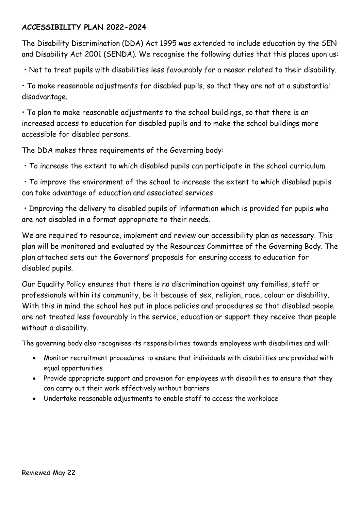## **ACCESSIBILITY PLAN 2022-2024**

The Disability Discrimination (DDA) Act 1995 was extended to include education by the SEN and Disability Act 2001 (SENDA). We recognise the following duties that this places upon us:

• Not to treat pupils with disabilities less favourably for a reason related to their disability.

• To make reasonable adjustments for disabled pupils, so that they are not at a substantial disadvantage.

• To plan to make reasonable adjustments to the school buildings, so that there is an increased access to education for disabled pupils and to make the school buildings more accessible for disabled persons.

The DDA makes three requirements of the Governing body:

• To increase the extent to which disabled pupils can participate in the school curriculum

• To improve the environment of the school to increase the extent to which disabled pupils can take advantage of education and associated services

• Improving the delivery to disabled pupils of information which is provided for pupils who are not disabled in a format appropriate to their needs.

We are required to resource, implement and review our accessibility plan as necessary. This plan will be monitored and evaluated by the Resources Committee of the Governing Body. The plan attached sets out the Governors' proposals for ensuring access to education for disabled pupils.

Our Equality Policy ensures that there is no discrimination against any families, staff or professionals within its community, be it because of sex, religion, race, colour or disability. With this in mind the school has put in place policies and procedures so that disabled people are not treated less favourably in the service, education or support they receive than people without a disability.

The governing body also recognises its responsibilities towards employees with disabilities and will;

- Monitor recruitment procedures to ensure that individuals with disabilities are provided with equal opportunities
- Provide appropriate support and provision for employees with disabilities to ensure that they can carry out their work effectively without barriers
- Undertake reasonable adjustments to enable staff to access the workplace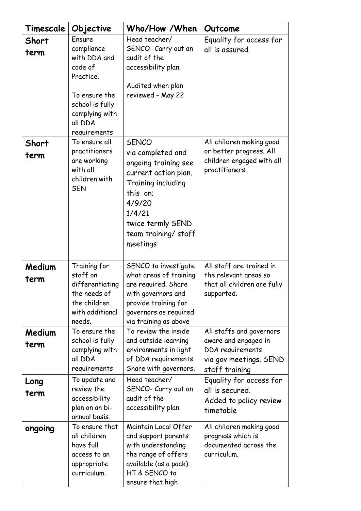| Timescale      | Objective                                                                                                   | Who/How /When                                                                                                                                                                                   | Outcome                                                                                                          |
|----------------|-------------------------------------------------------------------------------------------------------------|-------------------------------------------------------------------------------------------------------------------------------------------------------------------------------------------------|------------------------------------------------------------------------------------------------------------------|
| Short          | Ensure                                                                                                      | Head teacher/                                                                                                                                                                                   | Equality for access for                                                                                          |
| term           | compliance<br>with DDA and<br>code of                                                                       | SENCO- Carry out an<br>audit of the<br>accessibility plan.                                                                                                                                      | all is assured.                                                                                                  |
|                | Practice.<br>To ensure the<br>school is fully<br>complying with<br>all DDA<br>requirements<br>To ensure all | Audited when plan<br>reviewed - May 22                                                                                                                                                          |                                                                                                                  |
| Short<br>term  | practitioners<br>are working<br>with all<br>children with<br><b>SEN</b>                                     | <b>SENCO</b><br>via completed and<br>ongoing training see<br>current action plan.<br>Training including<br>this on:<br>4/9/20<br>1/4/21<br>twice termly SEND<br>team training/staff<br>meetings | All children making good<br>or better progress. All<br>children engaged with all<br>practitioners.               |
| Medium<br>term | Training for<br>staff on<br>differentiating<br>the needs of<br>the children<br>with additional<br>needs.    | SENCO to investigate<br>what areas of training<br>are required. Share<br>with governors and<br>provide training for<br>governors as required.<br>via training as above                          | All staff are trained in<br>the relevant areas so<br>that all children are fully<br>supported.                   |
| Medium<br>term | To ensure the<br>school is fully<br>complying with<br>all DDA<br>requirements                               | To review the inside<br>and outside learning<br>environments in light<br>of DDA requirements.<br>Share with governors.                                                                          | All staffs and governors<br>aware and engaged in<br>DDA requirements<br>via gov meetings. SEND<br>staff training |
| Long<br>term   | To update and<br>review the<br>accessibility<br>plan on an bi-<br>annual basis.                             | Head teacher/<br>SENCO- Carry out an<br>audit of the<br>accessibility plan.                                                                                                                     | Equality for access for<br>all is secured.<br>Added to policy review<br>timetable                                |
| ongoing        | To ensure that<br>all children<br>have full<br>access to an<br>appropriate<br>curriculum.                   | Maintain Local Offer<br>and support parents<br>with understanding<br>the range of offers<br>available (as a pack).<br>HT & SENCO to<br>ensure that high                                         | All children making good<br>progress which is<br>documented across the<br>curriculum.                            |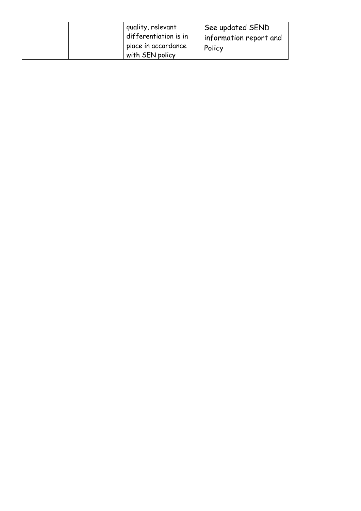|  | quality, relevant<br>differentiation is in<br>place in accordance | See updated SEND<br>information report and<br>Policy |
|--|-------------------------------------------------------------------|------------------------------------------------------|
|  | with SEN policy                                                   |                                                      |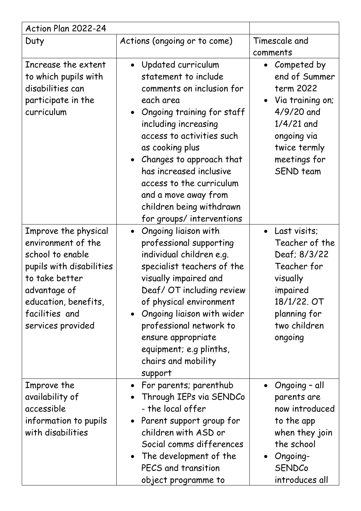| Action Plan 2022-24                                                                                                                                                                         |                                                                                                                                                                                                                                                                                                                                                                  |                                                                                                                                                                      |  |
|---------------------------------------------------------------------------------------------------------------------------------------------------------------------------------------------|------------------------------------------------------------------------------------------------------------------------------------------------------------------------------------------------------------------------------------------------------------------------------------------------------------------------------------------------------------------|----------------------------------------------------------------------------------------------------------------------------------------------------------------------|--|
| Duty                                                                                                                                                                                        | Actions (ongoing or to come)                                                                                                                                                                                                                                                                                                                                     | Timescale and<br>comments                                                                                                                                            |  |
| Increase the extent<br>to which pupils with<br>disabilities can<br>participate in the<br>curriculum                                                                                         | Updated curriculum<br>statement to include<br>comments on inclusion for<br>each area<br>Ongoing training for staff<br>including increasing<br>access to activities such<br>as cooking plus<br>Changes to approach that<br>has increased inclusive<br>access to the curriculum<br>and a move away from<br>children being withdrawn<br>for groups/ interventions   | Competed by<br>$\bullet$<br>end of Summer<br>term 2022<br>Via training on;<br>4/9/20 and<br>$1/4/21$ and<br>ongoing via<br>twice termly<br>meetings for<br>SEND team |  |
| Improve the physical<br>environment of the<br>school to enable<br>pupils with disabilities<br>to take better<br>advantage of<br>education, benefits,<br>facilities and<br>services provided | Ongoing liaison with<br>$\bullet$<br>professional supporting<br>individual children e.g.<br>specialist teachers of the<br>visually impaired and<br>Deaf/ OT including review<br>of physical environment<br>Ongoing liaison with wider<br>$\bullet$<br>professional network to<br>ensure appropriate<br>equipment; e.g plinths,<br>chairs and mobility<br>support | • Last visits;<br>Teacher of the<br>Deaf; 8/3/22<br>Teacher for<br>visually<br>impaired<br>18/1/22. OT<br>planning for<br>two children<br>ongoing                    |  |
| Improve the<br>availability of<br>accessible<br>information to pupils<br>with disabilities                                                                                                  | • For parents; parenthub<br>Through IEPs via SENDCo<br>$\bullet$<br>- the local offer<br>Parent support group for<br>children with ASD or<br>Social comms differences<br>The development of the<br>PECS and transition<br>object programme to                                                                                                                    | Ongoing - all<br>parents are<br>now introduced<br>to the app<br>when they join<br>the school<br>Ongoing-<br><b>SENDCo</b><br>introduces all                          |  |